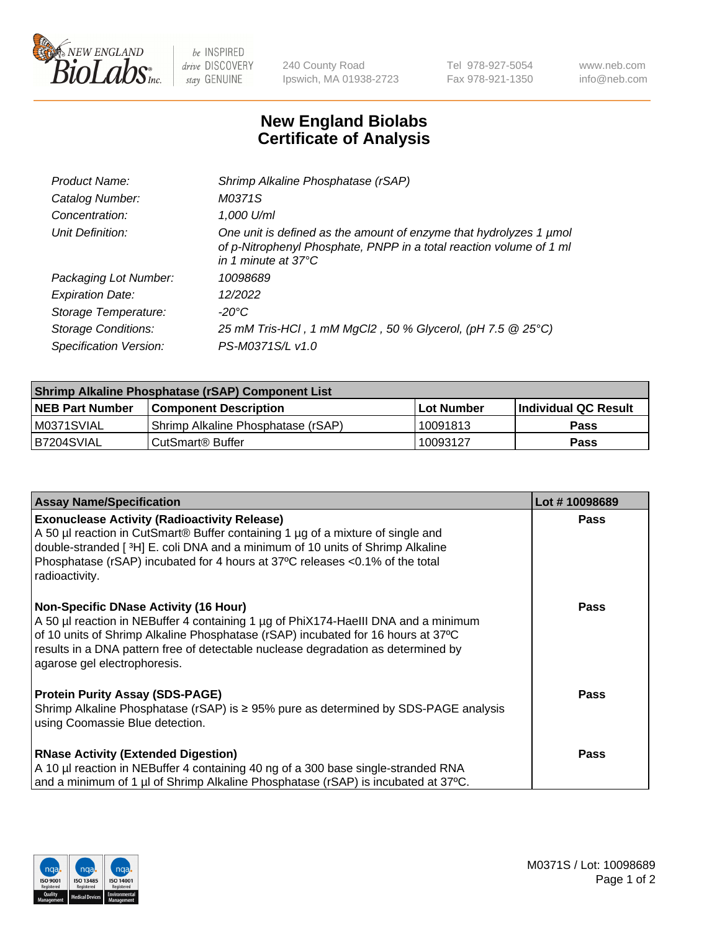

 $be$  INSPIRED drive DISCOVERY stay GENUINE

240 County Road Ipswich, MA 01938-2723 Tel 978-927-5054 Fax 978-921-1350 www.neb.com info@neb.com

## **New England Biolabs Certificate of Analysis**

| Product Name:              | Shrimp Alkaline Phosphatase (rSAP)                                                                                                                                         |
|----------------------------|----------------------------------------------------------------------------------------------------------------------------------------------------------------------------|
| Catalog Number:            | M0371S                                                                                                                                                                     |
| Concentration:             | 1,000 U/ml                                                                                                                                                                 |
| Unit Definition:           | One unit is defined as the amount of enzyme that hydrolyzes 1 µmol<br>of p-Nitrophenyl Phosphate, PNPP in a total reaction volume of 1 ml<br>in 1 minute at $37^{\circ}$ C |
| Packaging Lot Number:      | 10098689                                                                                                                                                                   |
| <b>Expiration Date:</b>    | 12/2022                                                                                                                                                                    |
| Storage Temperature:       | $-20^{\circ}$ C                                                                                                                                                            |
| <b>Storage Conditions:</b> | 25 mM Tris-HCl, 1 mM MgCl2, 50 % Glycerol, (pH 7.5 @ 25°C)                                                                                                                 |
| Specification Version:     | PS-M0371S/L v1.0                                                                                                                                                           |

| <b>Shrimp Alkaline Phosphatase (rSAP) Component List</b> |                                     |                   |                      |  |  |
|----------------------------------------------------------|-------------------------------------|-------------------|----------------------|--|--|
| <b>NEB Part Number</b>                                   | <b>Component Description</b>        | <b>Lot Number</b> | Individual QC Result |  |  |
| IM0371SVIAL                                              | 'Shrimp Alkaline Phosphatase (rSAP) | 10091813          | <b>Pass</b>          |  |  |
| IB7204SVIAL                                              | CutSmart® Buffer                    | 10093127          | <b>Pass</b>          |  |  |

| <b>Assay Name/Specification</b>                                                                                                                                                                                                                                                                                                             | Lot #10098689 |
|---------------------------------------------------------------------------------------------------------------------------------------------------------------------------------------------------------------------------------------------------------------------------------------------------------------------------------------------|---------------|
| <b>Exonuclease Activity (Radioactivity Release)</b><br>A 50 µl reaction in CutSmart® Buffer containing 1 µg of a mixture of single and<br>double-stranded [3H] E. coli DNA and a minimum of 10 units of Shrimp Alkaline<br>Phosphatase (rSAP) incubated for 4 hours at 37°C releases <0.1% of the total<br>radioactivity.                   | <b>Pass</b>   |
| <b>Non-Specific DNase Activity (16 Hour)</b><br>A 50 µl reaction in NEBuffer 4 containing 1 µg of PhiX174-HaeIII DNA and a minimum<br>of 10 units of Shrimp Alkaline Phosphatase (rSAP) incubated for 16 hours at 37°C<br>results in a DNA pattern free of detectable nuclease degradation as determined by<br>agarose gel electrophoresis. | <b>Pass</b>   |
| <b>Protein Purity Assay (SDS-PAGE)</b><br>Shrimp Alkaline Phosphatase (rSAP) is $\geq$ 95% pure as determined by SDS-PAGE analysis<br>using Coomassie Blue detection.                                                                                                                                                                       | Pass          |
| <b>RNase Activity (Extended Digestion)</b><br>A 10 µl reaction in NEBuffer 4 containing 40 ng of a 300 base single-stranded RNA<br>and a minimum of 1 µl of Shrimp Alkaline Phosphatase (rSAP) is incubated at 37°C.                                                                                                                        | Pass          |